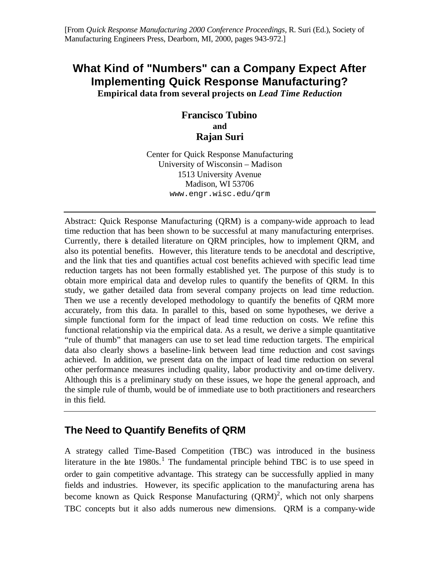# **What Kind of "Numbers" can a Company Expect After Implementing Quick Response Manufacturing?**

**Empirical data from several projects on** *Lead Time Reduction*

#### **Francisco Tubino and Rajan Suri**

Center for Quick Response Manufacturing University of Wisconsin – Madison 1513 University Avenue Madison, WI 53706 www.engr.wisc.edu/qrm

Abstract: Quick Response Manufacturing (QRM) is a company-wide approach to lead time reduction that has been shown to be successful at many manufacturing enterprises. Currently, there is detailed literature on QRM principles, how to implement QRM, and also its potential benefits. However, this literature tends to be anecdotal and descriptive, and the link that ties and quantifies actual cost benefits achieved with specific lead time reduction targets has not been formally established yet. The purpose of this study is to obtain more empirical data and develop rules to quantify the benefits of QRM. In this study, we gather detailed data from several company projects on lead time reduction. Then we use a recently developed methodology to quantify the benefits of QRM more accurately, from this data. In parallel to this, based on some hypotheses, we derive a simple functional form for the impact of lead time reduction on costs. We refine this functional relationship via the empirical data. As a result, we derive a simple quantitative "rule of thumb" that managers can use to set lead time reduction targets. The empirical data also clearly shows a baseline-link between lead time reduction and cost savings achieved. In addition, we present data on the impact of lead time reduction on several other performance measures including quality, labor productivity and on-time delivery. Although this is a preliminary study on these issues, we hope the general approach, and the simple rule of thumb, would be of immediate use to both practitioners and researchers in this field.

# **The Need to Quantify Benefits of QRM**

A strategy called Time-Based Competition (TBC) was introduced in the business literature in the late  $1980s$ .<sup>1</sup> The fundamental principle behind TBC is to use speed in order to gain competitive advantage. This strategy can be successfully applied in many fields and industries. However, its specific application to the manufacturing arena has become known as Quick Response Manufacturing  $(QRM)^2$ , which not only sharpens TBC concepts but it also adds numerous new dimensions. QRM is a company-wide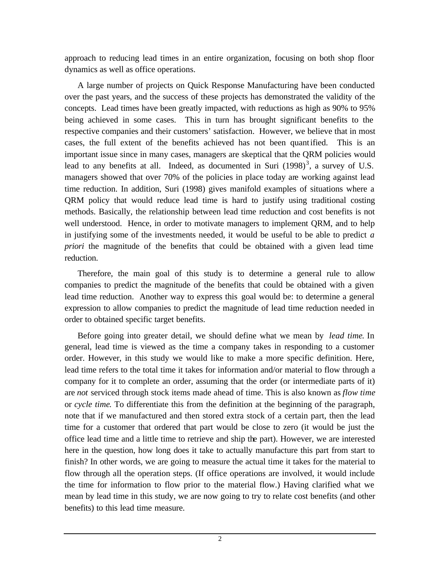approach to reducing lead times in an entire organization, focusing on both shop floor dynamics as well as office operations.

A large number of projects on Quick Response Manufacturing have been conducted over the past years, and the success of these projects has demonstrated the validity of the concepts. Lead times have been greatly impacted, with reductions as high as 90% to 95% being achieved in some cases. This in turn has brought significant benefits to the respective companies and their customers' satisfaction. However, we believe that in most cases, the full extent of the benefits achieved has not been quantified. This is an important issue since in many cases, managers are skeptical that the QRM policies would lead to any benefits at all. Indeed, as documented in Suri  $(1998)^3$ , a survey of U.S. managers showed that over 70% of the policies in place today are working against lead time reduction. In addition, Suri (1998) gives manifold examples of situations where a QRM policy that would reduce lead time is hard to justify using traditional costing methods. Basically, the relationship between lead time reduction and cost benefits is not well understood. Hence, in order to motivate managers to implement QRM, and to help in justifying some of the investments needed, it would be useful to be able to predict *a priori* the magnitude of the benefits that could be obtained with a given lead time reduction.

Therefore, the main goal of this study is to determine a general rule to allow companies to predict the magnitude of the benefits that could be obtained with a given lead time reduction. Another way to express this goal would be: to determine a general expression to allow companies to predict the magnitude of lead time reduction needed in order to obtained specific target benefits.

Before going into greater detail, we should define what we mean by *lead time*. In general, lead time is viewed as the time a company takes in responding to a customer order. However, in this study we would like to make a more specific definition. Here, lead time refers to the total time it takes for information and/or material to flow through a company for it to complete an order, assuming that the order (or intermediate parts of it) are *not* serviced through stock items made ahead of time. This is also known as *flow time* or *cycle time*. To differentiate this from the definition at the beginning of the paragraph, note that if we manufactured and then stored extra stock of a certain part, then the lead time for a customer that ordered that part would be close to zero (it would be just the office lead time and a little time to retrieve and ship the part). However, we are interested here in the question, how long does it take to actually manufacture this part from start to finish? In other words, we are going to measure the actual time it takes for the material to flow through all the operation steps. (If office operations are involved, it would include the time for information to flow prior to the material flow.) Having clarified what we mean by lead time in this study, we are now going to try to relate cost benefits (and other benefits) to this lead time measure.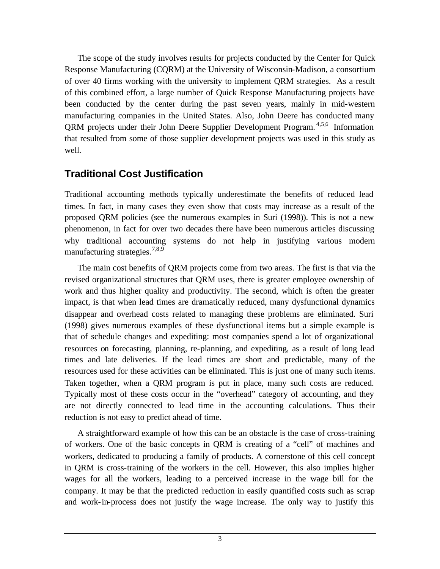The scope of the study involves results for projects conducted by the Center for Quick Response Manufacturing (CQRM) at the University of Wisconsin-Madison, a consortium of over 40 firms working with the university to implement QRM strategies. As a result of this combined effort, a large number of Quick Response Manufacturing projects have been conducted by the center during the past seven years, mainly in mid-western manufacturing companies in the United States. Also, John Deere has conducted many QRM projects under their John Deere Supplier Development Program.<sup>4,5,6</sup> Information that resulted from some of those supplier development projects was used in this study as well.

#### **Traditional Cost Justification**

Traditional accounting methods typically underestimate the benefits of reduced lead times. In fact, in many cases they even show that costs may increase as a result of the proposed QRM policies (see the numerous examples in Suri (1998)). This is not a new phenomenon, in fact for over two decades there have been numerous articles discussing why traditional accounting systems do not help in justifying various modern manufacturing strategies.<sup>7,8,9</sup>

The main cost benefits of QRM projects come from two areas. The first is that via the revised organizational structures that QRM uses, there is greater employee ownership of work and thus higher quality and productivity. The second, which is often the greater impact, is that when lead times are dramatically reduced, many dysfunctional dynamics disappear and overhead costs related to managing these problems are eliminated. Suri (1998) gives numerous examples of these dysfunctional items but a simple example is that of schedule changes and expediting: most companies spend a lot of organizational resources on forecasting, planning, re-planning, and expediting, as a result of long lead times and late deliveries. If the lead times are short and predictable, many of the resources used for these activities can be eliminated. This is just one of many such items. Taken together, when a QRM program is put in place, many such costs are reduced. Typically most of these costs occur in the "overhead" category of accounting, and they are not directly connected to lead time in the accounting calculations. Thus their reduction is not easy to predict ahead of time.

A straightforward example of how this can be an obstacle is the case of cross-training of workers. One of the basic concepts in QRM is creating of a "cell" of machines and workers, dedicated to producing a family of products. A cornerstone of this cell concept in QRM is cross-training of the workers in the cell. However, this also implies higher wages for all the workers, leading to a perceived increase in the wage bill for the company. It may be that the predicted reduction in easily quantified costs such as scrap and work-in-process does not justify the wage increase. The only way to justify this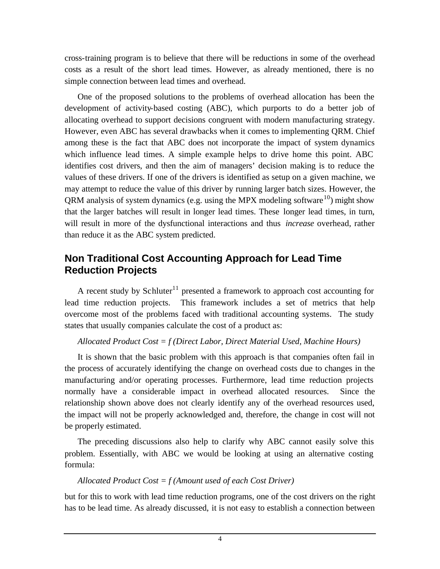cross-training program is to believe that there will be reductions in some of the overhead costs as a result of the short lead times. However, as already mentioned, there is no simple connection between lead times and overhead.

One of the proposed solutions to the problems of overhead allocation has been the development of activity-based costing (ABC), which purports to do a better job of allocating overhead to support decisions congruent with modern manufacturing strategy. However, even ABC has several drawbacks when it comes to implementing QRM. Chief among these is the fact that ABC does not incorporate the impact of system dynamics which influence lead times. A simple example helps to drive home this point. ABC identifies cost drivers, and then the aim of managers' decision making is to reduce the values of these drivers. If one of the drivers is identified as setup on a given machine, we may attempt to reduce the value of this driver by running larger batch sizes. However, the QRM analysis of system dynamics (e.g. using the MPX modeling software<sup>10</sup>) might show that the larger batches will result in longer lead times. These longer lead times, in turn, will result in more of the dysfunctional interactions and thus *increase* overhead, rather than reduce it as the ABC system predicted.

### **Non Traditional Cost Accounting Approach for Lead Time Reduction Projects**

A recent study by Schluter<sup>11</sup> presented a framework to approach cost accounting for lead time reduction projects. This framework includes a set of metrics that help overcome most of the problems faced with traditional accounting systems. The study states that usually companies calculate the cost of a product as:

#### *Allocated Product Cost = f (Direct Labor, Direct Material Used, Machine Hours)*

It is shown that the basic problem with this approach is that companies often fail in the process of accurately identifying the change on overhead costs due to changes in the manufacturing and/or operating processes. Furthermore, lead time reduction projects normally have a considerable impact in overhead allocated resources. Since the relationship shown above does not clearly identify any of the overhead resources used, the impact will not be properly acknowledged and, therefore, the change in cost will not be properly estimated.

The preceding discussions also help to clarify why ABC cannot easily solve this problem. Essentially, with ABC we would be looking at using an alternative costing formula:

#### *Allocated Product Cost = f (Amount used of each Cost Driver)*

but for this to work with lead time reduction programs, one of the cost drivers on the right has to be lead time. As already discussed, it is not easy to establish a connection between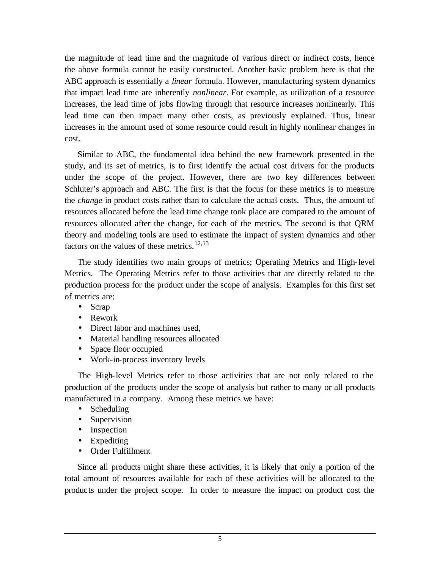the magnitude of lead time and the magnitude of various direct or indirect costs, hence the above formula cannot be easily constructed. Another basic problem here is that the ABC approach is essentially a *linear* formula. However, manufacturing system dynamics that impact lead time are inherently *nonlinear*. For example, as utilization of a resource increases, the lead time of jobs flowing through that resource increases nonlinearly. This lead time can then impact many other costs, as previously explained. Thus, linear increases in the amount used of some resource could result in highly nonlinear changes in cost.

Similar to ABC, the fundamental idea behind the new framework presented in the study, and its set of metrics, is to first identify the actual cost drivers for the products under the scope of the project. However, there are two key differences between Schluter's approach and ABC. The first is that the focus for these metrics is to measure the *change* in product costs rather than to calculate the actual costs. Thus, the amount of resources allocated before the lead time change took place are compared to the amount of resources allocated after the change, for each of the metrics. The second is that QRM theory and modeling tools are used to estimate the impact of system dynamics and other factors on the values of these metrics.<sup>12,13</sup>

The study identifies two main groups of metrics; Operating Metrics and High-level Metrics. The Operating Metrics refer to those activities that are directly related to the production process for the product under the scope of analysis. Examples for this first set of metrics are:

- Scrap
- Rework
- Direct labor and machines used.
- Material handling resources allocated
- Space floor occupied
- Work-in-process inventory levels

The High-level Metrics refer to those activities that are not only related to the production of the products under the scope of analysis but rather to many or all products manufactured in a company. Among these metrics we have:

- Scheduling
- Supervision
- Inspection
- Expediting
- Order Fulfillment

Since all products might share these activities, it is likely that only a portion of the total amount of resources available for each of these activities will be allocated to the products under the project scope. In order to measure the impact on product cost the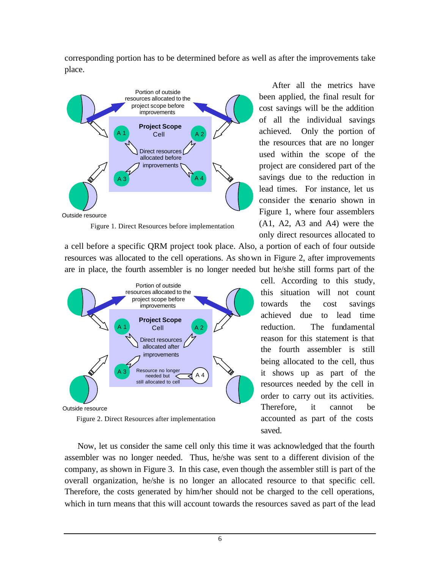corresponding portion has to be determined before as well as after the improvements take place.



Figure 1. Direct Resources before implementation

a cell before a specific QRM project took place. Also, a portion of each of four outside resources was allocated to the cell operations. As shown in Figure 2, after improvements are in place, the fourth assembler is no longer needed but he/she still forms part of the



Figure 2. Direct Resources after implementation

After all the metrics have been applied, the final result for cost savings will be the addition of all the individual savings achieved. Only the portion of the resources that are no longer used within the scope of the project are considered part of the savings due to the reduction in lead times. For instance, let us consider the scenario shown in Figure 1, where four assemblers (A1, A2, A3 and A4) were the only direct resources allocated to

cell. According to this study, this situation will not count towards the cost savings achieved due to lead time reduction. The fundamental reason for this statement is that the fourth assembler is still being allocated to the cell, thus it shows up as part of the resources needed by the cell in order to carry out its activities. Therefore, it cannot be accounted as part of the costs saved.

Now, let us consider the same cell only this time it was acknowledged that the fourth assembler was no longer needed. Thus, he/she was sent to a different division of the company, as shown in Figure 3. In this case, even though the assembler still is part of the overall organization, he/she is no longer an allocated resource to that specific cell. Therefore, the costs generated by him/her should not be charged to the cell operations, which in turn means that this will account towards the resources saved as part of the lead

6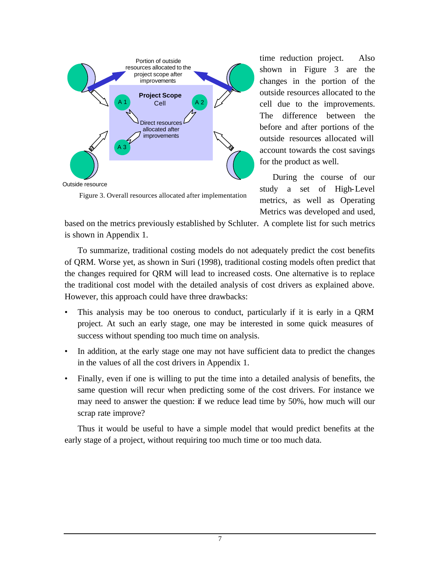

Figure 3. Overall resources allocated after implementation

time reduction project. Also shown in Figure 3 are the changes in the portion of the outside resources allocated to the cell due to the improvements. The difference between the before and after portions of the outside resources allocated will account towards the cost savings for the product as well.

During the course of our study a set of High-Level metrics, as well as Operating Metrics was developed and used,

based on the metrics previously established by Schluter. A complete list for such metrics is shown in Appendix 1.

To summarize, traditional costing models do not adequately predict the cost benefits of QRM. Worse yet, as shown in Suri (1998), traditional costing models often predict that the changes required for QRM will lead to increased costs. One alternative is to replace the traditional cost model with the detailed analysis of cost drivers as explained above. However, this approach could have three drawbacks:

- This analysis may be too onerous to conduct, particularly if it is early in a QRM project. At such an early stage, one may be interested in some quick measures of success without spending too much time on analysis.
- In addition, at the early stage one may not have sufficient data to predict the changes in the values of all the cost drivers in Appendix 1.
- Finally, even if one is willing to put the time into a detailed analysis of benefits, the same question will recur when predicting some of the cost drivers. For instance we may need to answer the question: if we reduce lead time by 50%, how much will our scrap rate improve?

Thus it would be useful to have a simple model that would predict benefits at the early stage of a project, without requiring too much time or too much data.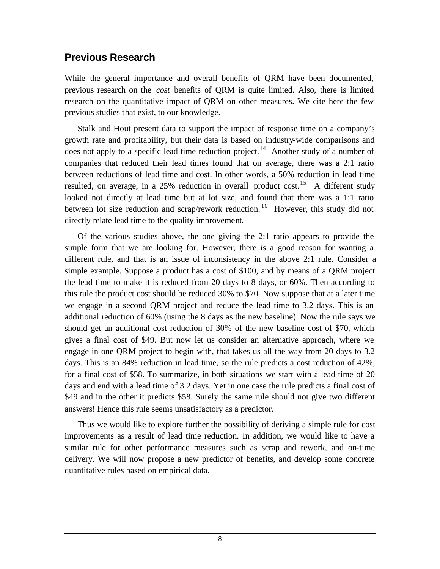#### **Previous Research**

While the general importance and overall benefits of QRM have been documented, previous research on the *cost* benefits of QRM is quite limited. Also, there is limited research on the quantitative impact of QRM on other measures. We cite here the few previous studies that exist, to our knowledge.

Stalk and Hout present data to support the impact of response time on a company's growth rate and profitability, but their data is based on industry-wide comparisons and does not apply to a specific lead time reduction project.<sup>14</sup> Another study of a number of companies that reduced their lead times found that on average, there was a 2:1 ratio between reductions of lead time and cost. In other words, a 50% reduction in lead time resulted, on average, in a 25% reduction in overall product cost.<sup>15</sup> A different study looked not directly at lead time but at lot size, and found that there was a 1:1 ratio between lot size reduction and scrap/rework reduction.<sup>16</sup> However, this study did not directly relate lead time to the quality improvement.

Of the various studies above, the one giving the 2:1 ratio appears to provide the simple form that we are looking for. However, there is a good reason for wanting a different rule, and that is an issue of inconsistency in the above 2:1 rule. Consider a simple example. Suppose a product has a cost of \$100, and by means of a QRM project the lead time to make it is reduced from 20 days to 8 days, or 60%. Then according to this rule the product cost should be reduced 30% to \$70. Now suppose that at a later time we engage in a second QRM project and reduce the lead time to 3.2 days. This is an additional reduction of 60% (using the 8 days as the new baseline). Now the rule says we should get an additional cost reduction of 30% of the new baseline cost of \$70, which gives a final cost of \$49. But now let us consider an alternative approach, where we engage in one QRM project to begin with, that takes us all the way from 20 days to 3.2 days. This is an 84% reduction in lead time, so the rule predicts a cost reduction of 42%, for a final cost of \$58. To summarize, in both situations we start with a lead time of 20 days and end with a lead time of 3.2 days. Yet in one case the rule predicts a final cost of \$49 and in the other it predicts \$58. Surely the same rule should not give two different answers! Hence this rule seems unsatisfactory as a predictor.

Thus we would like to explore further the possibility of deriving a simple rule for cost improvements as a result of lead time reduction. In addition, we would like to have a similar rule for other performance measures such as scrap and rework, and on-time delivery. We will now propose a new predictor of benefits, and develop some concrete quantitative rules based on empirical data.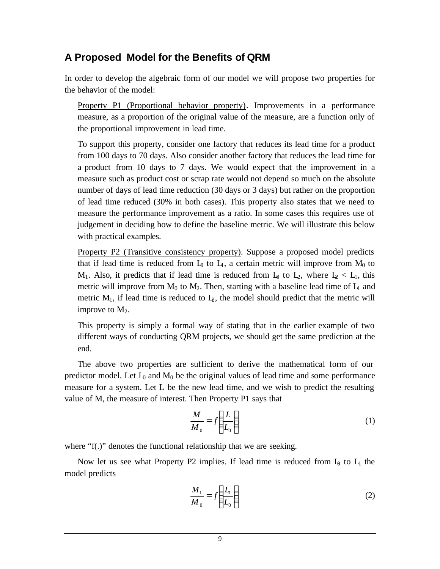# **A Proposed Model for the Benefits of QRM**

In order to develop the algebraic form of our model we will propose two properties for the behavior of the model:

Property P1 (Proportional behavior property). Improvements in a performance measure, as a proportion of the original value of the measure, are a function only of the proportional improvement in lead time.

To support this property, consider one factory that reduces its lead time for a product from 100 days to 70 days. Also consider another factory that reduces the lead time for a product from 10 days to 7 days. We would expect that the improvement in a measure such as product cost or scrap rate would not depend so much on the absolute number of days of lead time reduction (30 days or 3 days) but rather on the proportion of lead time reduced (30% in both cases). This property also states that we need to measure the performance improvement as a ratio. In some cases this requires use of judgement in deciding how to define the baseline metric. We will illustrate this below with practical examples.

Property P2 (Transitive consistency property). Suppose a proposed model predicts that if lead time is reduced from  $L_0$  to  $L_1$ , a certain metric will improve from  $M_0$  to  $M_1$ . Also, it predicts that if lead time is reduced from  $L_0$  to  $L_2$ , where  $L_2 < L_1$ , this metric will improve from  $M_0$  to  $M_2$ . Then, starting with a baseline lead time of  $L_1$  and metric  $M_1$ , if lead time is reduced to  $L_2$ , the model should predict that the metric will improve to  $M_2$ .

This property is simply a formal way of stating that in the earlier example of two different ways of conducting QRM projects, we should get the same prediction at the end.

The above two properties are sufficient to derive the mathematical form of our predictor model. Let  $L_0$  and  $M_0$  be the original values of lead time and some performance measure for a system. Let L be the new lead time, and we wish to predict the resulting value of M, the measure of interest. Then Property P1 says that

$$
\frac{M}{M_0} = f\left(\frac{L}{L_0}\right) \tag{1}
$$

where "f(.)" denotes the functional relationship that we are seeking.

Now let us see what Property P2 implies. If lead time is reduced from  $I_{\theta}$  to  $I_1$  the model predicts

$$
\frac{M_1}{M_0} = f\left(\frac{L_1}{L_0}\right) \tag{2}
$$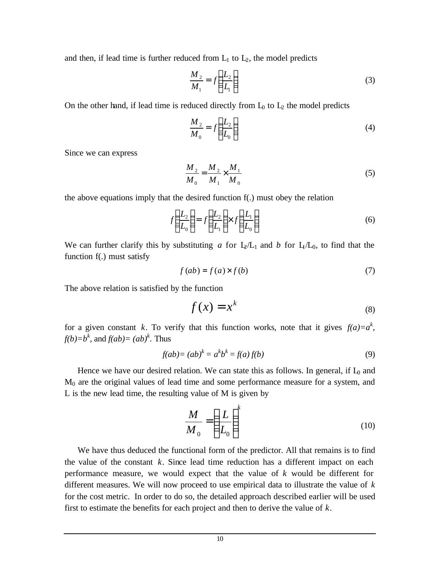and then, if lead time is further reduced from  $L_1$  to  $L_2$ , the model predicts

$$
\frac{M_2}{M_1} = f\left(\frac{L_2}{L_1}\right) \tag{3}
$$

On the other hand, if lead time is reduced directly from  $L_0$  to  $L_2$  the model predicts

$$
\frac{M_2}{M_0} = f\left(\frac{L_2}{L_0}\right) \tag{4}
$$

Since we can express

$$
\frac{M_2}{M_0} = \frac{M_2}{M_1} \times \frac{M_1}{M_0}
$$
 (5)

the above equations imply that the desired function f(.) must obey the relation

$$
f\left(\frac{L_2}{L_0}\right) = f\left(\frac{L_2}{L_1}\right) \times f\left(\frac{L_1}{L_0}\right) \tag{6}
$$

We can further clarify this by substituting *a* for  $L_2/L_1$  and *b* for  $L_1/L_0$ , to find that the function f(.) must satisfy

$$
f(ab) = f(a) \times f(b)
$$
 (7)

The above relation is satisfied by the function

$$
f(x) = x^k \tag{8}
$$

for a given constant *k*. To verify that this function works, note that it gives  $f(a)=a^k$ ,  $f(b)=b^k$ , and  $f(ab)=(ab)^k$ . Thus

$$
f(ab) = (ab)^k = a^k b^k = f(a)f(b)
$$
\n(9)

Hence we have our desired relation. We can state this as follows. In general, if  $L_0$  and M0 are the original values of lead time and some performance measure for a system, and L is the new lead time, the resulting value of M is given by

$$
\frac{M}{M_0} = \left(\frac{L}{L_0}\right)^k\tag{10}
$$

We have thus deduced the functional form of the predictor. All that remains is to find the value of the constant *k*. Since lead time reduction has a different impact on each performance measure, we would expect that the value of *k* would be different for different measures. We will now proceed to use empirical data to illustrate the value of *k* for the cost metric. In order to do so, the detailed approach described earlier will be used first to estimate the benefits for each project and then to derive the value of *k*.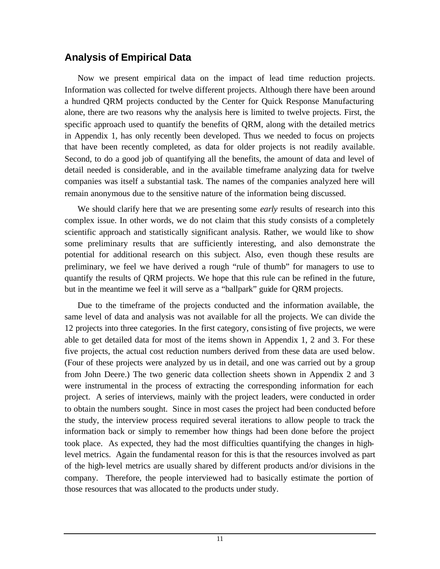# **Analysis of Empirical Data**

Now we present empirical data on the impact of lead time reduction projects. Information was collected for twelve different projects. Although there have been around a hundred QRM projects conducted by the Center for Quick Response Manufacturing alone, there are two reasons why the analysis here is limited to twelve projects. First, the specific approach used to quantify the benefits of QRM, along with the detailed metrics in Appendix 1, has only recently been developed. Thus we needed to focus on projects that have been recently completed, as data for older projects is not readily available. Second, to do a good job of quantifying all the benefits, the amount of data and level of detail needed is considerable, and in the available timeframe analyzing data for twelve companies was itself a substantial task. The names of the companies analyzed here will remain anonymous due to the sensitive nature of the information being discussed.

We should clarify here that we are presenting some *early* results of research into this complex issue. In other words, we do not claim that this study consists of a completely scientific approach and statistically significant analysis. Rather, we would like to show some preliminary results that are sufficiently interesting, and also demonstrate the potential for additional research on this subject. Also, even though these results are preliminary, we feel we have derived a rough "rule of thumb" for managers to use to quantify the results of QRM projects. We hope that this rule can be refined in the future, but in the meantime we feel it will serve as a "ballpark" guide for QRM projects.

Due to the timeframe of the projects conducted and the information available, the same level of data and analysis was not available for all the projects. We can divide the 12 projects into three categories. In the first category, consisting of five projects, we were able to get detailed data for most of the items shown in Appendix 1, 2 and 3. For these five projects, the actual cost reduction numbers derived from these data are used below. (Four of these projects were analyzed by us in detail, and one was carried out by a group from John Deere.) The two generic data collection sheets shown in Appendix 2 and 3 were instrumental in the process of extracting the corresponding information for each project. A series of interviews, mainly with the project leaders, were conducted in order to obtain the numbers sought. Since in most cases the project had been conducted before the study, the interview process required several iterations to allow people to track the information back or simply to remember how things had been done before the project took place. As expected, they had the most difficulties quantifying the changes in highlevel metrics. Again the fundamental reason for this is that the resources involved as part of the high-level metrics are usually shared by different products and/or divisions in the company. Therefore, the people interviewed had to basically estimate the portion of those resources that was allocated to the products under study.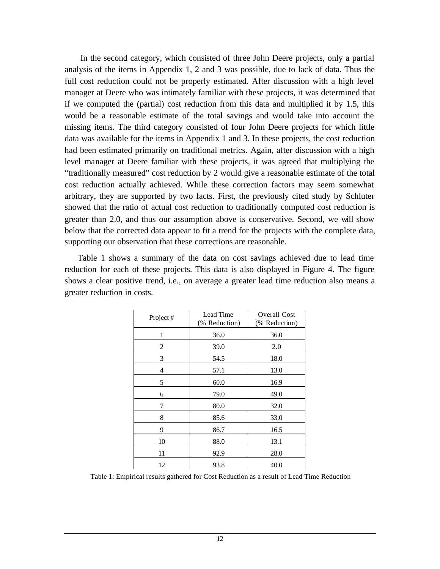In the second category, which consisted of three John Deere projects, only a partial analysis of the items in Appendix 1, 2 and 3 was possible, due to lack of data. Thus the full cost reduction could not be properly estimated. After discussion with a high level manager at Deere who was intimately familiar with these projects, it was determined that if we computed the (partial) cost reduction from this data and multiplied it by 1.5, this would be a reasonable estimate of the total savings and would take into account the missing items. The third category consisted of four John Deere projects for which little data was available for the items in Appendix 1 and 3. In these projects, the cost reduction had been estimated primarily on traditional metrics. Again, after discussion with a high level manager at Deere familiar with these projects, it was agreed that multiplying the "traditionally measured" cost reduction by 2 would give a reasonable estimate of the total cost reduction actually achieved. While these correction factors may seem somewhat arbitrary, they are supported by two facts. First, the previously cited study by Schluter showed that the ratio of actual cost reduction to traditionally computed cost reduction is greater than 2.0, and thus our assumption above is conservative. Second, we will show below that the corrected data appear to fit a trend for the projects with the complete data, supporting our observation that these corrections are reasonable.

Table 1 shows a summary of the data on cost savings achieved due to lead time reduction for each of these projects. This data is also displayed in Figure 4. The figure shows a clear positive trend, i.e., on average a greater lead time reduction also means a greater reduction in costs.

| Project#     | Lead Time<br>(% Reduction) | Overall Cost<br>(% Reduction) |
|--------------|----------------------------|-------------------------------|
| $\mathbf{1}$ | 36.0                       | 36.0                          |
| 2            | 39.0                       | 2.0                           |
| 3            | 54.5                       | 18.0                          |
| 4            | 57.1                       | 13.0                          |
| 5            | 60.0                       | 16.9                          |
| 6            | 79.0                       | 49.0                          |
| 7            | 80.0                       | 32.0                          |
| 8            | 85.6                       | 33.0                          |
| 9            | 86.7                       | 16.5                          |
| 10           | 88.0                       | 13.1                          |
| 11           | 92.9                       | 28.0                          |
| 12           | 93.8                       | 40.0                          |

Table 1: Empirical results gathered for Cost Reduction as a result of Lead Time Reduction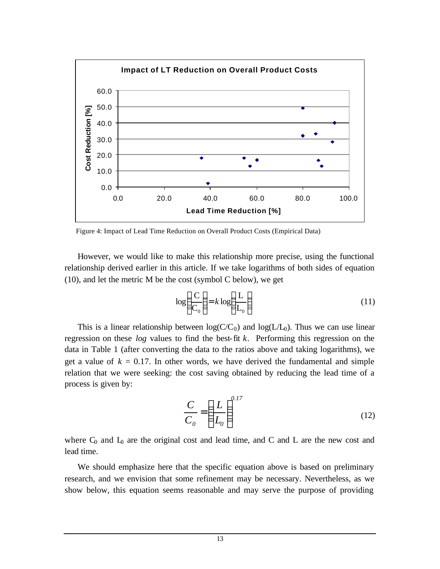

Figure 4: Impact of Lead Time Reduction on Overall Product Costs (Empirical Data)

However, we would like to make this relationship more precise, using the functional relationship derived earlier in this article. If we take logarithms of both sides of equation (10), and let the metric M be the cost (symbol C below), we get

$$
\log\left(\frac{C}{C_0}\right) = k \log\left(\frac{L}{L_0}\right) \tag{11}
$$

This is a linear relationship between  $log(C/C_0)$  and  $log(L/L_0)$ . Thus we can use linear regression on these *log* values to find the best-fit *k*. Performing this regression on the data in Table 1 (after converting the data to the ratios above and taking logarithms), we get a value of  $k = 0.17$ . In other words, we have derived the fundamental and simple relation that we were seeking: the cost saving obtained by reducing the lead time of a process is given by:

$$
\frac{C}{C_0} = \left(\frac{L}{L_0}\right)^{0.17} \tag{12}
$$

where  $C_0$  and  $L_0$  are the original cost and lead time, and C and L are the new cost and lead time.

We should emphasize here that the specific equation above is based on preliminary research, and we envision that some refinement may be necessary. Nevertheless, as we show below, this equation seems reasonable and may serve the purpose of providing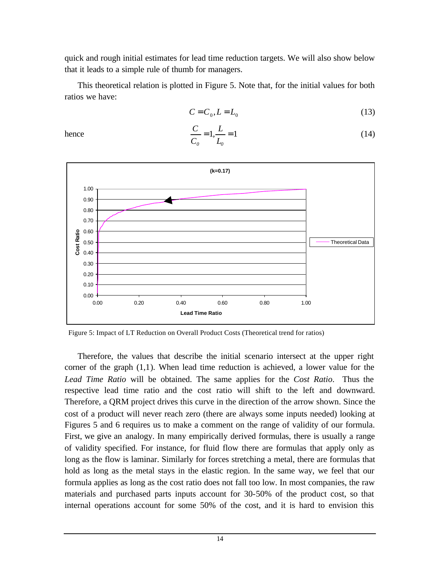quick and rough initial estimates for lead time reduction targets. We will also show below that it leads to a simple rule of thumb for managers.

This theoretical relation is plotted in Figure 5. Note that, for the initial values for both ratios we have:

> $\begin{array}{cc} & & L_0 \end{array}$ *L ,*

*C C*

$$
C = C_0, L = L_0 \tag{13}
$$

(14)

hence  $\frac{C}{C} = 1, \frac{D}{C} = 1$ 



Figure 5: Impact of LT Reduction on Overall Product Costs (Theoretical trend for ratios)

Therefore, the values that describe the initial scenario intersect at the upper right corner of the graph (1,1). When lead time reduction is achieved, a lower value for the *Lead Time Ratio* will be obtained. The same applies for the *Cost Ratio*. Thus the respective lead time ratio and the cost ratio will shift to the left and downward. Therefore, a QRM project drives this curve in the direction of the arrow shown. Since the cost of a product will never reach zero (there are always some inputs needed) looking at Figures 5 and 6 requires us to make a comment on the range of validity of our formula. First, we give an analogy. In many empirically derived formulas, there is usually a range of validity specified. For instance, for fluid flow there are formulas that apply only as long as the flow is laminar. Similarly for forces stretching a metal, there are formulas that hold as long as the metal stays in the elastic region. In the same way, we feel that our formula applies as long as the cost ratio does not fall too low. In most companies, the raw materials and purchased parts inputs account for 30-50% of the product cost, so that internal operations account for some 50% of the cost, and it is hard to envision this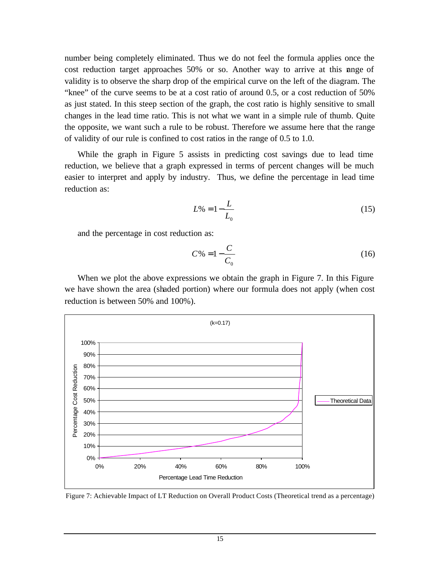number being completely eliminated. Thus we do not feel the formula applies once the cost reduction target approaches 50% or so. Another way to arrive at this ange of validity is to observe the sharp drop of the empirical curve on the left of the diagram. The "knee" of the curve seems to be at a cost ratio of around 0.5, or a cost reduction of 50% as just stated. In this steep section of the graph, the cost ratio is highly sensitive to small changes in the lead time ratio. This is not what we want in a simple rule of thumb. Quite the opposite, we want such a rule to be robust. Therefore we assume here that the range of validity of our rule is confined to cost ratios in the range of 0.5 to 1.0.

While the graph in Figure 5 assists in predicting cost savings due to lead time reduction, we believe that a graph expressed in terms of percent changes will be much easier to interpret and apply by industry. Thus, we define the percentage in lead time reduction as:

$$
L\% = 1 - \frac{L}{L_0} \tag{15}
$$

and the percentage in cost reduction as:

$$
C\% = 1 - \frac{C}{C_0} \tag{16}
$$

When we plot the above expressions we obtain the graph in Figure 7. In this Figure we have shown the area (shaded portion) where our formula does not apply (when cost reduction is between 50% and 100%).



Figure 7: Achievable Impact of LT Reduction on Overall Product Costs (Theoretical trend as a percentage)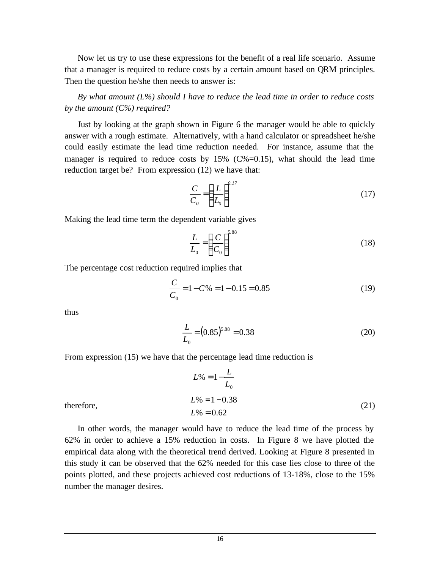Now let us try to use these expressions for the benefit of a real life scenario. Assume that a manager is required to reduce costs by a certain amount based on QRM principles. Then the question he/she then needs to answer is:

*By what amount (L%) should I have to reduce the lead time in order to reduce costs by the amount (C%) required?*

Just by looking at the graph shown in Figure 6 the manager would be able to quickly answer with a rough estimate. Alternatively, with a hand calculator or spreadsheet he/she could easily estimate the lead time reduction needed. For instance, assume that the manager is required to reduce costs by  $15\%$  (C%=0.15), what should the lead time reduction target be? From expression (12) we have that:

$$
\frac{C}{C_0} = \left(\frac{L}{L_0}\right)^{0.17} \tag{17}
$$

Making the lead time term the dependent variable gives

$$
\frac{L}{L_0} = \left(\frac{C}{C_0}\right)^{5.88} \tag{18}
$$

The percentage cost reduction required implies that

$$
\frac{C}{C_0} = 1 - C\% = 1 - 0.15 = 0.85\tag{19}
$$

thus

$$
\frac{L}{L_0} = (0.85)^{5.88} = 0.38\tag{20}
$$

From expression (15) we have that the percentage lead time reduction is

$$
L\% = 1 - \frac{L}{L_0}
$$
  
\n
$$
L\% = 1 - 0.38
$$
  
\n
$$
L\% = 0.62
$$
\n(21)

therefore,

In other words, the manager would have to reduce the lead time of the process by 62% in order to achieve a 15% reduction in costs. In Figure 8 we have plotted the empirical data along with the theoretical trend derived. Looking at Figure 8 presented in this study it can be observed that the 62% needed for this case lies close to three of the points plotted, and these projects achieved cost reductions of 13-18%, close to the 15% number the manager desires.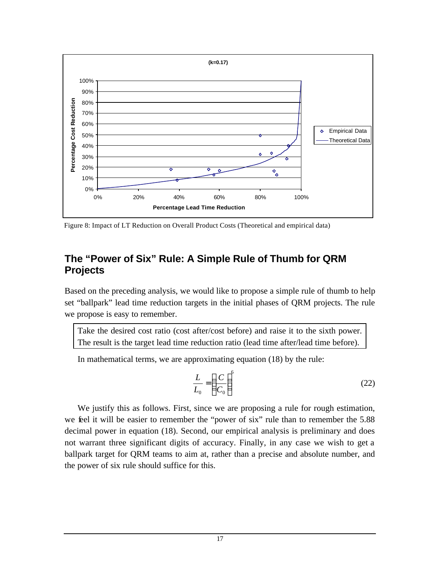

Figure 8: Impact of LT Reduction on Overall Product Costs (Theoretical and empirical data)

### **The "Power of Six" Rule: A Simple Rule of Thumb for QRM Projects**

Based on the preceding analysis, we would like to propose a simple rule of thumb to help set "ballpark" lead time reduction targets in the initial phases of QRM projects. The rule we propose is easy to remember.

Take the desired cost ratio (cost after/cost before) and raise it to the sixth power. The result is the target lead time reduction ratio (lead time after/lead time before).

In mathematical terms, we are approximating equation (18) by the rule:

$$
\frac{L}{L_0} = \left(\frac{C}{C_0}\right)^6\tag{22}
$$

We justify this as follows. First, since we are proposing a rule for rough estimation, we feel it will be easier to remember the "power of six" rule than to remember the 5.88 decimal power in equation (18). Second, our empirical analysis is preliminary and does not warrant three significant digits of accuracy. Finally, in any case we wish to get a ballpark target for QRM teams to aim at, rather than a precise and absolute number, and the power of six rule should suffice for this.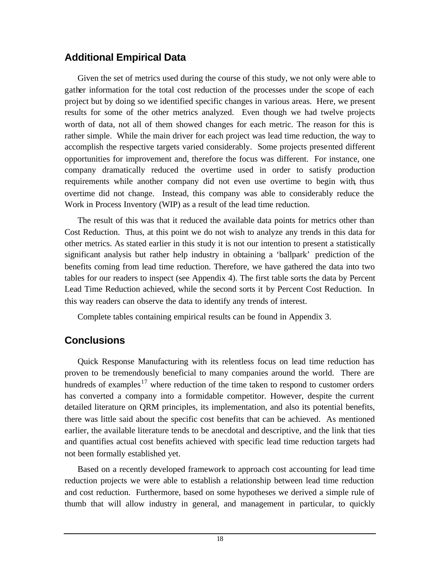# **Additional Empirical Data**

Given the set of metrics used during the course of this study, we not only were able to gather information for the total cost reduction of the processes under the scope of each project but by doing so we identified specific changes in various areas. Here, we present results for some of the other metrics analyzed. Even though we had twelve projects worth of data, not all of them showed changes for each metric. The reason for this is rather simple. While the main driver for each project was lead time reduction, the way to accomplish the respective targets varied considerably. Some projects presented different opportunities for improvement and, therefore the focus was different. For instance, one company dramatically reduced the overtime used in order to satisfy production requirements while another company did not even use overtime to begin with, thus overtime did not change. Instead, this company was able to considerably reduce the Work in Process Inventory (WIP) as a result of the lead time reduction.

The result of this was that it reduced the available data points for metrics other than Cost Reduction. Thus, at this point we do not wish to analyze any trends in this data for other metrics. As stated earlier in this study it is not our intention to present a statistically significant analysis but rather help industry in obtaining a 'ballpark' prediction of the benefits coming from lead time reduction. Therefore, we have gathered the data into two tables for our readers to inspect (see Appendix 4). The first table sorts the data by Percent Lead Time Reduction achieved, while the second sorts it by Percent Cost Reduction. In this way readers can observe the data to identify any trends of interest.

Complete tables containing empirical results can be found in Appendix 3.

# **Conclusions**

Quick Response Manufacturing with its relentless focus on lead time reduction has proven to be tremendously beneficial to many companies around the world. There are hundreds of examples<sup>17</sup> where reduction of the time taken to respond to customer orders has converted a company into a formidable competitor. However, despite the current detailed literature on QRM principles, its implementation, and also its potential benefits, there was little said about the specific cost benefits that can be achieved. As mentioned earlier, the available literature tends to be anecdotal and descriptive, and the link that ties and quantifies actual cost benefits achieved with specific lead time reduction targets had not been formally established yet.

Based on a recently developed framework to approach cost accounting for lead time reduction projects we were able to establish a relationship between lead time reduction and cost reduction. Furthermore, based on some hypotheses we derived a simple rule of thumb that will allow industry in general, and management in particular, to quickly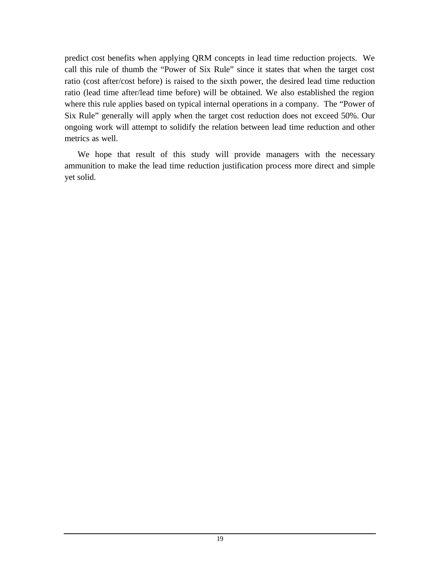predict cost benefits when applying QRM concepts in lead time reduction projects. We call this rule of thumb the "Power of Six Rule" since it states that when the target cost ratio (cost after/cost before) is raised to the sixth power, the desired lead time reduction ratio (lead time after/lead time before) will be obtained. We also established the region where this rule applies based on typical internal operations in a company. The "Power of Six Rule" generally will apply when the target cost reduction does not exceed 50%. Our ongoing work will attempt to solidify the relation between lead time reduction and other metrics as well.

We hope that result of this study will provide managers with the necessary ammunition to make the lead time reduction justification process more direct and simple yet solid.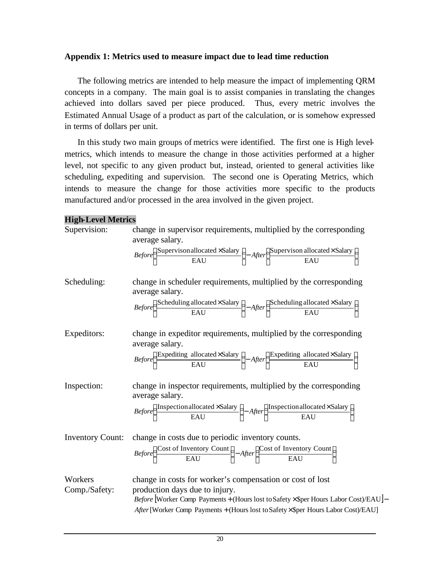#### **Appendix 1: Metrics used to measure impact due to lead time reduction**

The following metrics are intended to help measure the impact of implementing QRM concepts in a company. The main goal is to assist companies in translating the changes achieved into dollars saved per piece produced. Thus, every metric involves the Estimated Annual Usage of a product as part of the calculation, or is somehow expressed in terms of dollars per unit.

In this study two main groups of metrics were identified. The first one is High levelmetrics, which intends to measure the change in those activities performed at a higher level, not specific to any given product but, instead, oriented to general activities like scheduling, expediting and supervision. The second one is Operating Metrics, which intends to measure the change for those activities more specific to the products manufactured and/or processed in the area involved in the given project.

#### **High-Level Metrics**

| Supervision:             | change in supervisor requirements, multiplied by the corresponding<br>average salary.                                                                                                                                                                                      |
|--------------------------|----------------------------------------------------------------------------------------------------------------------------------------------------------------------------------------------------------------------------------------------------------------------------|
|                          | $Before \left(\frac{\text{Supervison allocated} \times \text{Salary}}{\text{EAU}}\right) - After \left(\frac{\text{Supervison allocated} \times \text{Salary}}{\text{EAU}}\right)$                                                                                         |
| Scheduling:              | change in scheduler requirements, multiplied by the corresponding<br>average salary.<br>$Before \left(\frac{\text{Scheduling allocated} \times \text{Salary}}{\text{EAU}}\right) - After \left(\frac{\text{Scheduling allocated} \times \text{Salary}}{\text{EAU}}\right)$ |
| Expeditors:              | change in expeditor requirements, multiplied by the corresponding<br>average salary.<br>$Before \left(\frac{\text{Expediting allocated} \times \text{Salary}}{\text{EAU}}\right) - After \left(\frac{\text{Expediting allocated} \times \text{Salary}}{\text{EAU}}\right)$ |
| Inspection:              | change in inspector requirements, multiplied by the corresponding<br>average salary.<br>$Before \left( \frac{Inspection allocated \times Salary}{EAU} \right) - After \left( \frac{Inspection allocated \times Salary}{EAI} \right)$                                       |
| <b>Inventory Count:</b>  | change in costs due to periodic inventory counts.<br>$Before \left(\frac{\text{Cost of Inventory Count}}{\text{FAII}}\right) - After \left(\frac{\text{Cost of Inventory Count}}{\text{FAII}}\right)$                                                                      |
| Workers<br>Comp./Safety: | change in costs for worker's compensation or cost of lost<br>production days due to injury.<br>Before [Worker Comp Payments + (Hours lost to Safety × \$per Hours Labor Cost)/EAU]-<br>After [Worker Comp Payments + (Hours lost to Safety×\$per Hours Labor Cost)/EAU]    |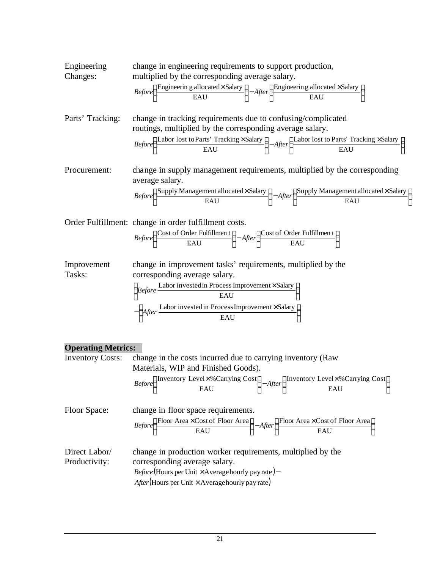Engineering change in engineering requirements to support production,   
\nChanges:   
\nmultiplied by the corresponding average salary.   
\n
$$
Before\left(\frac{\text{Engineering a allocated} \times \text{Salary}}{\text{EAU}}\right) - After\left(\frac{\text{Engineering a allocated} \times \text{Salary}}{\text{EAU}}\right)
$$

\nParts' Tracking:   
\nchange in tracking requirements due to confusing/complicated   
\nroutines, multiplied by the corresponding average salary.   
\n $Before\left(\frac{\text{Labor lost to Parts' Tracking} \times \text{Salary}}{\text{EAU}}\right) - After\left(\frac{\text{Labor lost to Parts' Tracking} \times \text{Salary}}{\text{EAU}}\right)$ 

\nProcurrent:   
\nchange in supply management requirements, multiplied by the corresponding

average salary.

$$
Before \left(\frac{Supply \, Management \, allocated \times \, salary}{EAU}\right) - After \left(\frac{Supply \, Management \, allocated \times \, salary}{EAU}\right)
$$

Order Fulfillment: change in order fulfillment costs.

$$
\text{Before} \left(\frac{\text{Cost of Order Fullfilmen t}}{\text{EAU}}\right) - \text{After} \left(\frac{\text{Cost of Order Fullfilmen t}}{\text{EAU}}\right)
$$

Improvement change in improvement tasks' requirements, multiplied by the Tasks: corresponding average salary.

$$
\left(\begin{array}{c}\n\text{Before} \xrightarrow{\text{Labor invested in Process Improvement} \times \text{Salary}} \\
\hline\n\text{EAU}\n\end{array}\right) - \left(\begin{array}{c}\n\text{After} \xrightarrow{\text{Labor invested in Process Improvement} \times \text{Salary}} \\
\text{EAU}\n\end{array}\right)
$$

#### **Operating Metrics:**

| <b>Inventory Costs:</b>        | change in the costs incurred due to carrying inventory (Raw                                                                                                                                                                   |  |  |  |  |  |  |  |
|--------------------------------|-------------------------------------------------------------------------------------------------------------------------------------------------------------------------------------------------------------------------------|--|--|--|--|--|--|--|
|                                | Materials, WIP and Finished Goods).                                                                                                                                                                                           |  |  |  |  |  |  |  |
|                                | $Before \left(\frac{\text{Inventory Level}\times\%\text{Carrying Cost}}{\text{EAU}}\right)-After \left(\frac{\text{Inventory Level}\times\%\text{Carrying Cost}}{\text{EAU}}\right)$                                          |  |  |  |  |  |  |  |
| Floor Space:                   | change in floor space requirements.<br>$Before \left(\frac{\text{Floor Area} \times \text{Cost of Floor Area}}{\text{EAU}}\right) - After \left(\frac{\text{Floor Area} \times \text{Cost of Floor Area}}{\text{EAU}}\right)$ |  |  |  |  |  |  |  |
|                                |                                                                                                                                                                                                                               |  |  |  |  |  |  |  |
| Direct Labor/<br>Productivity: | change in production worker requirements, multiplied by the<br>corresponding average salary.                                                                                                                                  |  |  |  |  |  |  |  |
|                                | <i>Before</i> (Hours per Unit $\times$ Average hourly pay rate)–                                                                                                                                                              |  |  |  |  |  |  |  |
|                                | $After(Hours per Unit \times Average hourly pay rate)$                                                                                                                                                                        |  |  |  |  |  |  |  |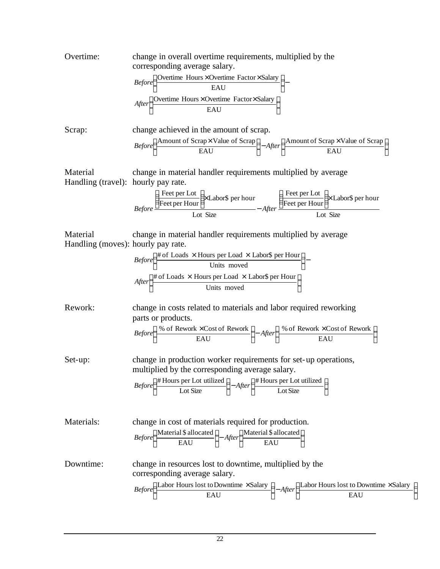Overtime: change in overall overtime requirements, multiplied by the corresponding average salary.

 × × − × × EAU Overtime Hours Overtime Factor Salary EAU Overtime Hours Overtime Factor Salary *After Before*

Scrap: change achieved in the amount of scrap.

$$
Before \left(\frac{\text{Amount of Scrap} \times \text{Value of Scrap}}{\text{EAU}}\right) - After \left(\frac{\text{Amount of Scrap} \times \text{Value of Scrap}}{\text{EAU}}\right)
$$

Material change in material handler requirements multiplied by average Handling (travel): hourly pay rate.

$$
Before \frac{\left(\frac{\text{Feet per Lot}}{\text{Feet per Hour}}\right) \times \text{Labor\$ per hour}}{\text{Lot Size}} - After \frac{\left(\frac{\text{Feet per Lot}}{\text{Feet per Hour}}\right) \times \text{Labor\$ per hour}}{\text{Lot Size}}
$$

Material change in material handler requirements multiplied by average Handling (moves): hourly pay rate.

$$
Before\left(\frac{\text{\# of Loads} \times \text{Hours per Load} \times \text{Labor$ per Hour}}{\text{Units moved}}\right) -
$$
\n
$$
After\left(\frac{\text{\# of Loads} \times \text{Hours per Load} \times \text{Labor$ per Hour}}{\text{Units moved}}\right)
$$

Rework: change in costs related to materials and labor required reworking parts or products.

$$
Before \left(\frac{\% \ of \ Rework \times Cost \ of \ Rework}{EAU}\right) - After \left(\frac{\% \ of \ Rework \times Cost \ of \ Rework}{EAU}\right)
$$

Set-up: change in production worker requirements for set-up operations, multiplied by the corresponding average salary.

$$
Before \left(\frac{\text{\# Hours per Lot utilized}}{\text{Lot Size}}\right) - After \left(\frac{\text{\# Hours per Lot utilized}}{\text{Lot Size}}\right)
$$

Materials: change in cost of materials required for production. I  $\overline{\phantom{a}}$  $\frac{\text{Material }\$ \text{ allocated}}{\text{E+U}}$ l  $-$ After  $\overline{\phantom{a}}$  $\frac{\text{Material }\$ \text{ allocated}}{\text{ELE}}$ l ſ EAU Material \$ allocated EAU Material \$ allocated *Before After* Downtime: change in resources lost to downtime, multiplied by the corresponding average salary.

$$
Before \left(\frac{\text{Labor Hours lost to Downtime} \times \text{Salary}}{\text{EAU}}\right) - After \left(\frac{\text{Labor Hours lost to Downtime} \times \text{Salary}}{\text{EAU}}\right)
$$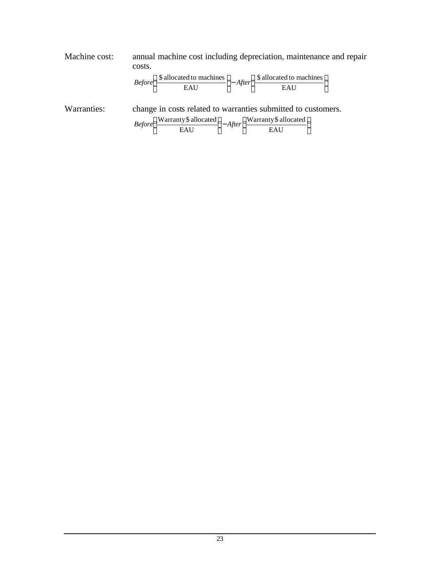Machine cost: annual machine cost including depreciation, maintenance and repair costs.

$$
Before \left(\frac{\$ \ allocated \ to \ machines}{EAU}\right) - After \left(\frac{\$ \ allocated \ to \ machines}{EAU}\right)
$$

Warranties: change in costs related to warranties submitted to customers.

| $Before$ – |     | $e\left(\frac{\text{Warranty \$ allocated}}{\text{exymum}}\right) - After\left(\frac{\text{Warranty \$ allocated}}{\text{exymum}}\right)$ |  |
|------------|-----|-------------------------------------------------------------------------------------------------------------------------------------------|--|
|            | EAU | EAU                                                                                                                                       |  |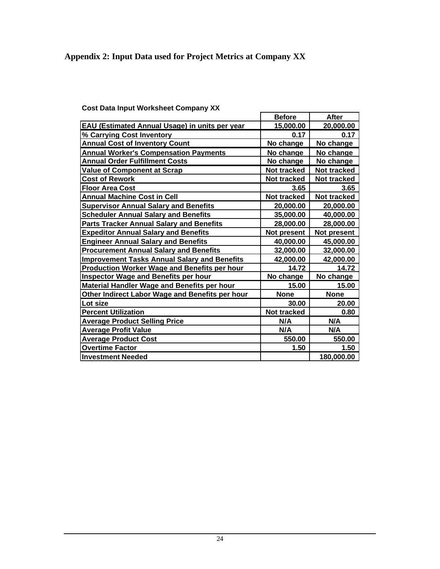# **Appendix 2: Input Data used for Project Metrics at Company XX**

|  | <b>Cost Data Input Worksheet Company XX</b> |  |  |
|--|---------------------------------------------|--|--|
|  |                                             |  |  |

|                                                     | <b>Before</b>      | After              |
|-----------------------------------------------------|--------------------|--------------------|
| EAU (Estimated Annual Usage) in units per year      | 15,000.00          | 20,000.00          |
| % Carrying Cost Inventory                           | 0.17               | 0.17               |
| <b>Annual Cost of Inventory Count</b>               | No change          | No change          |
| <b>Annual Worker's Compensation Payments</b>        | No change          | No change          |
| <b>Annual Order Fulfillment Costs</b>               | No change          | No change          |
| Value of Component at Scrap                         | Not tracked        | <b>Not tracked</b> |
| <b>Cost of Rework</b>                               | Not tracked        | Not tracked        |
| <b>Floor Area Cost</b>                              | 3.65               | 3.65               |
| <b>Annual Machine Cost in Cell</b>                  | <b>Not tracked</b> | <b>Not tracked</b> |
| <b>Supervisor Annual Salary and Benefits</b>        | 20,000.00          | 20,000.00          |
| <b>Scheduler Annual Salary and Benefits</b>         | 35,000.00          | 40,000.00          |
| <b>Parts Tracker Annual Salary and Benefits</b>     | 28,000.00          | 28,000.00          |
| <b>Expeditor Annual Salary and Benefits</b>         | Not present        | Not present        |
| <b>Engineer Annual Salary and Benefits</b>          | 40,000.00          | 45,000.00          |
| <b>Procurement Annual Salary and Benefits</b>       | 32,000.00          | 32,000.00          |
| <b>Improvement Tasks Annual Salary and Benefits</b> | 42,000.00          | 42,000.00          |
| <b>Production Worker Wage and Benefits per hour</b> | 14.72              | 14.72              |
| <b>Inspector Wage and Benefits per hour</b>         | No change          | No change          |
| Material Handler Wage and Benefits per hour         | 15.00              | 15.00              |
| Other Indirect Labor Wage and Benefits per hour     | <b>None</b>        | <b>None</b>        |
| Lot size                                            | 30.00              | 20.00              |
| <b>Percent Utilization</b>                          | <b>Not tracked</b> | 0.80               |
| <b>Average Product Selling Price</b>                | N/A                | <b>N/A</b>         |
| <b>Average Profit Value</b>                         | N/A                | N/A                |
| <b>Average Product Cost</b>                         | 550.00             | 550.00             |
| <b>Overtime Factor</b>                              | 1.50               | 1.50               |
| <b>Investment Needed</b>                            |                    | 180,000.00         |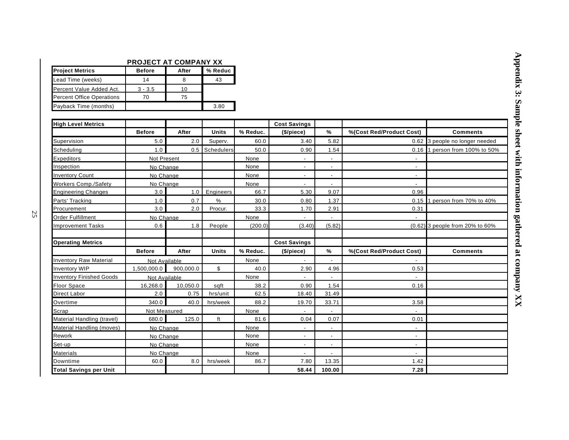#### **PROJECT AT COMPANY XX**

| <b>Project Metrics</b>           | <b>Before</b> | After | % Reduc |
|----------------------------------|---------------|-------|---------|
| Lead Time (weeks)                | 14            |       | 43      |
| Percent Value Added Act.         | $3 - 3.5$     | 10    |         |
| <b>Percent Office Operations</b> | 70            | 75    |         |
| Payback Time (months)            |               |       | 3.80    |

| <b>High Level Metrics</b>       |               |           |              |          | <b>Cost Savings</b>      |                          |                          |                                 |
|---------------------------------|---------------|-----------|--------------|----------|--------------------------|--------------------------|--------------------------|---------------------------------|
|                                 | <b>Before</b> | After     | <b>Units</b> | % Reduc. | (\$/piece)               | %                        | %(Cost Red/Product Cost) | <b>Comments</b>                 |
| Supervision                     | 5.0           | 2.0       | Superv.      | 60.0     | 3.40                     | 5.82                     |                          | 0.62 3 people no longer needed  |
| Scheduling                      | 1.0           | 0.5       | Schedulers   | 50.0     | 0.90                     | 1.54                     | 0.16                     | 1 person from 100% to 50%       |
| <b>Expeditors</b>               | Not Present   |           |              | None     |                          |                          |                          |                                 |
| Inspection                      | No Change     |           |              | None     | $\blacksquare$           | $\overline{\phantom{a}}$ | $\overline{\phantom{a}}$ |                                 |
| <b>Inventory Count</b>          | No Change     |           |              | None     | $\sim$                   | $\overline{\phantom{a}}$ | $\blacksquare$           |                                 |
| <b>Workers Comp./Safety</b>     | No Change     |           |              | None     | $\overline{\phantom{a}}$ | $\overline{\phantom{a}}$ | $\overline{\phantom{a}}$ |                                 |
| <b>Engineering Changes</b>      | 3.0           | 1.0       | Engineers    | 66.7     | 5.30                     | 9.07                     | 0.96                     |                                 |
| Parts' Tracking                 | 1.0           | 0.7       | %            | 30.0     | 0.80                     | 1.37                     | 0.15                     | person from 70% to 40%          |
| Procurement                     | 3.0           | 2.0       | Procur.      | 33.3     | 1.70                     | 2.91                     | 0.31                     |                                 |
| <b>Order Fulfillment</b>        | No Change     |           |              | None     |                          |                          |                          |                                 |
| <b>Improvement Tasks</b>        | 0.6           | 1.8       | People       | (200.0)  | (3.40)                   | (5.82)                   |                          | (0.62) 3 people from 20% to 60% |
| <b>Operating Metrics</b>        |               |           |              |          | <b>Cost Savings</b>      |                          |                          |                                 |
|                                 | <b>Before</b> | After     | <b>Units</b> | % Reduc. | (\$/piece)               | %                        | %(Cost Red/Product Cost) | <b>Comments</b>                 |
| <b>Inventory Raw Material</b>   | Not Available |           |              | None     |                          |                          |                          |                                 |
| Inventory WIP                   | 1,500,000.0   | 900,000.0 | \$           | 40.0     | 2.90                     | 4.96                     | 0.53                     |                                 |
| <b>Inventory Finished Goods</b> | Not Available |           |              | None     |                          |                          |                          |                                 |
| <b>Floor Space</b>              | 16,268.0      | 10,050.0  | sqft         | 38.2     | 0.90                     | 1.54                     | 0.16                     |                                 |
| <b>Direct Labor</b>             | 2.0           | 0.75      | hrs/unit     | 62.5     | 18.40                    | 31.49                    |                          |                                 |
| Overtime                        | 340.0         | 40.0      | hrs/week     | 88.2     | 19.70                    | 33.71                    | 3.58                     |                                 |
| Scrap                           | Not Measured  |           |              | None     |                          |                          |                          |                                 |
| Material Handling (travel)      | 680.0         | 125.0     | ft           | 81.6     | 0.04                     | 0.07                     | 0.01                     |                                 |
| Material Handling (moves)       | No Change     |           |              | None     |                          |                          |                          |                                 |
| Rework                          | No Change     |           |              | None     |                          |                          | $\overline{\phantom{a}}$ |                                 |
| Set-up                          | No Change     |           |              | None     |                          | $\overline{\phantom{a}}$ | $\blacksquare$           |                                 |
| <b>Materials</b>                | No Change     |           |              | None     |                          |                          |                          |                                 |
| <b>Downtime</b>                 | 60.0          | 8.0       | hrs/week     | 86.7     | 7.80                     | 13.35                    | 1.42                     |                                 |
| <b>Total Savings per Unit</b>   |               |           |              |          | 58.44                    | 100.00                   | 7.28                     |                                 |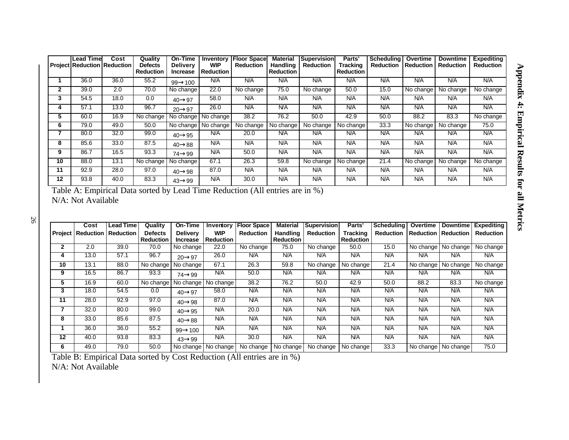|    | <b>Lead Time</b><br><b>Project Reduction Reduction</b> | Cost | Quality<br><b>Defects</b> | On-Time<br><b>Delivery</b> | Inventory<br><b>WIP</b> | <b>Floor Space</b><br><b>Reduction</b> | Material<br>Handling | <b>Supervision</b><br><b>Reduction</b> | Parts'<br>Tracking | <b>Scheduling</b><br><b>Reduction</b> | Overtime<br><b>Reduction</b> | <b>Downtime</b><br><b>Reduction</b> | <b>Expediting</b><br><b>Reduction</b> |
|----|--------------------------------------------------------|------|---------------------------|----------------------------|-------------------------|----------------------------------------|----------------------|----------------------------------------|--------------------|---------------------------------------|------------------------------|-------------------------------------|---------------------------------------|
|    |                                                        |      | <b>Reduction</b>          | <b>Increase</b>            | <b>Reduction</b>        |                                        | Reduction            |                                        | <b>Reduction</b>   |                                       |                              |                                     |                                       |
|    | 36.0                                                   | 36.0 | 55.2                      | $99 \rightarrow 100$       | N/A                     | N/A                                    | N/A                  | N/A                                    | N/A                | N/A                                   | N/A                          | N/A                                 | N/A                                   |
| 2  | 39.0                                                   | 2.0  | 70.0                      | No change                  | 22.0                    | No change                              | 75.0                 | No change                              | 50.0               | 15.0                                  | No change                    | No change                           | No change                             |
| 3  | 54.5                                                   | 18.0 | 0.0                       | $40 \rightarrow 97$        | 58.0                    | N/A                                    | N/A                  | N/A                                    | N/A                | N/A                                   | N/A                          | N/A                                 | N/A                                   |
| 4  | 57.1                                                   | 13.0 | 96.7                      | $20 \rightarrow 97$        | 26.0                    | N/A                                    | <b>N/A</b>           | N/A                                    | N/A                | N/A                                   | N/A                          | N/A                                 | N/A                                   |
| 5  | 60.0                                                   | 16.9 | No change                 | No change                  | No change               | 38.2                                   | 76.2                 | 50.0                                   | 42.9               | 50.0                                  | 88.2                         | 83.3                                | No change                             |
| 6  | 79.0                                                   | 49.0 | 50.0                      | No change                  | No change               | No change                              | No change            | No change                              | No change          | 33.3                                  | No change                    | No change                           | 75.0                                  |
|    | 80.0                                                   | 32.0 | 99.0                      | $40 \rightarrow 95$        | N/A                     | 20.0                                   | <b>N/A</b>           | N/A                                    | N/A                | N/A                                   | N/A                          | N/A                                 | N/A                                   |
| 8  | 85.6                                                   | 33.0 | 87.5                      | $40 \rightarrow 88$        | N/A                     | N/A                                    | N/A                  | N/A                                    | N/A                | N/A                                   | N/A                          | N/A                                 | N/A                                   |
| 9  | 86.7                                                   | 16.5 | 93.3                      | $74 \rightarrow 99$        | N/A                     | 50.0                                   | N/A                  | N/A                                    | N/A                | N/A                                   | N/A                          | N/A                                 | N/A                                   |
| 10 | 88.0                                                   | 13.1 | No change                 | No change                  | 67.1                    | 26.3                                   | 59.8                 | No change                              | No change          | 21.4                                  | No change                    | No change                           | No change                             |
| 11 | 92.9                                                   | 28.0 | 97.0                      | $40 \rightarrow 98$        | 87.0                    | N/A                                    | N/A                  | N/A                                    | N/A                | N/A                                   | N/A                          | N/A                                 | N/A                                   |
| 12 | 93.8                                                   | 40.0 | 83.3                      | $43 \rightarrow 99$        | N/A                     | 30.0                                   | N/A                  | N/A                                    | N/A                | N/A                                   | N/A                          | N/A                                 | N/A                                   |

| Table A: Empirical Data sorted by Lead Time Reduction (All entries are in %) |  |  |  |
|------------------------------------------------------------------------------|--|--|--|
| N/A: Not Available                                                           |  |  |  |

**Cost Lead Time Quality On-Time Inventory Floor Space Material Supervision Parts' Scheduling Overtime Downtime Expediting Project Reduction Reduction Defects Reduction**<br>70.0 **Delivery Increase WIP**  Reduction<br>22.0 **Reduction Handling Reduction**<br>75.0 **Reduction Tracking Reduction**<br>50.0 **Reduction Reduction Reduction Reduction 2** | 2.0 | 39.0 | 70.0 |No change | 22.0 |No change | 75.0 |No change | 50.0 | 15.0 |No change |No change |No change **4** | 13.0 | 57.1 | 96.7 | <sub>20→97</sub> | 26.0 | N/A | N/A | N/A | N/A | N/A | N/A | N/A | N/A | N/A **10** 13.1 88.0 No change No change 67.1 26.3 59.8 No change No change 21.4 No change No change No change **9** | 16.5 | 86.7 | 93.3 | <sub>74→99</sub> | №A | 50.0 | №A | №A | №A | №A | №A | №A | №A **5** | 16.9 | 60.0 |No change |No change |No change | 38.2 | 76.2 | 50.0 | 42.9 | 50.0 | 88.2 | 83.3 |No change **3** | 18.0 | 54.5 | 0.0 | <sub>40→97</sub> | 58.0 | N/A | N/A | N/A | N/A | N/A | N/A | N/A | N/A | N/A **11** | 28.0 | 92.9 | 97.0 | <sub>40→98</sub> | 87.0 | N/A | N/A | N/A | N/A | N/A | N/A | N/A | N/A | N/A **7** | 32.0 | 80.0 | 99.0 | <sub>40→95</sub> | N/A | 20.0 | N/A | N/A | N/A | N/A | N/A | N/A | N/A | N/A **8** | 33.0 | 85.6 | 87.5 | <sub>40→88</sub> | N/A | N/A | N/A | N/A | N/A | N/A | N/A | N/A | N/A | N/A **1** | 36.0 | 36.0 | 55.2 |<sub>99→100</sub> | N/A | N/A | N/A | N/A | N/A | N/A | N/A | N/A | N/A **12** | 40.0 | 93.8 | 83.3 | <sub>43→99</sub> | N/A | 30.0 | N/A | N/A | N/A | N/A | N/A | N/A | N/A | N/A **6** 49.0 79.0 50.0 No change No change No change No change No change No change 33.3 No change No change 75.0

Table B: Empirical Data sorted by Cost Reduction (All entries are in %) N/A: Not Available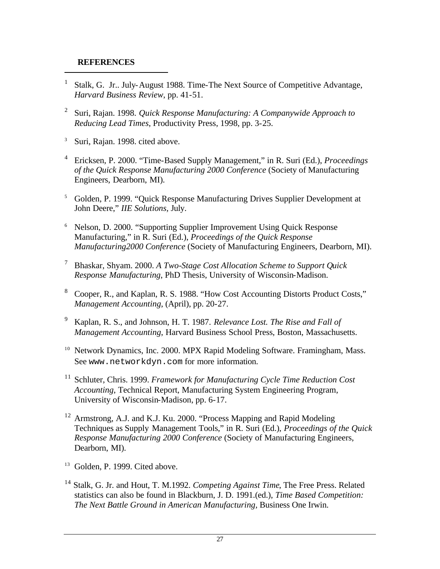#### **REFERENCES**

l

- <sup>1</sup> Stalk, G. Jr.. July-August 1988. Time-The Next Source of Competitive Advantage, *Harvard Business Review*, pp. 41-51.
- 2 Suri, Rajan. 1998. *Quick Response Manufacturing: A Companywide Approach to Reducing Lead Times*, Productivity Press, 1998, pp. 3-25.
- <sup>3</sup> Suri, Rajan. 1998. cited above.
- <sup>4</sup> Ericksen, P. 2000. "Time-Based Supply Management," in R. Suri (Ed.), *Proceedings of the Quick Response Manufacturing 2000 Conference* (Society of Manufacturing Engineers, Dearborn, MI).
- <sup>5</sup> Golden, P. 1999. "Quick Response Manufacturing Drives Supplier Development at John Deere," *IIE Solutions,* July.
- <sup>6</sup> Nelson, D. 2000. "Supporting Supplier Improvement Using Quick Response Manufacturing," in R. Suri (Ed.), *Proceedings of the Quick Response Manufacturing2000 Conference* (Society of Manufacturing Engineers, Dearborn, MI).
- <sup>7</sup> Bhaskar, Shyam. 2000. *A Two-Stage Cost Allocation Scheme to Support Quick Response Manufacturing*, PhD Thesis, University of Wisconsin-Madison.
- <sup>8</sup> Cooper, R., and Kaplan, R. S. 1988. "How Cost Accounting Distorts Product Costs," *Management Accounting*, (April), pp. 20-27.
- <sup>9</sup> Kaplan, R. S., and Johnson, H. T. 1987. *Relevance Lost. The Rise and Fall of Management Accounting*, Harvard Business School Press, Boston, Massachusetts.
- <sup>10</sup> Network Dynamics, Inc. 2000. MPX Rapid Modeling Software. Framingham, Mass. See www.networkdyn.com for more information.
- <sup>11</sup> Schluter, Chris. 1999. *Framework for Manufacturing Cycle Time Reduction Cost Accounting*, Technical Report, Manufacturing System Engineering Program, University of Wisconsin-Madison, pp. 6-17.
- <sup>12</sup> Armstrong, A.J. and K.J. Ku. 2000. "Process Mapping and Rapid Modeling Techniques as Supply Management Tools," in R. Suri (Ed.), *Proceedings of the Quick Response Manufacturing 2000 Conference* (Society of Manufacturing Engineers, Dearborn, MI).
- <sup>13</sup> Golden, P. 1999. Cited above.
- <sup>14</sup> Stalk, G. Jr. and Hout, T. M.1992. *Competing Against Time*, The Free Press. Related statistics can also be found in Blackburn, J. D. 1991.(ed.), *Time Based Competition: The Next Battle Ground in American Manufacturing,* Business One Irwin.